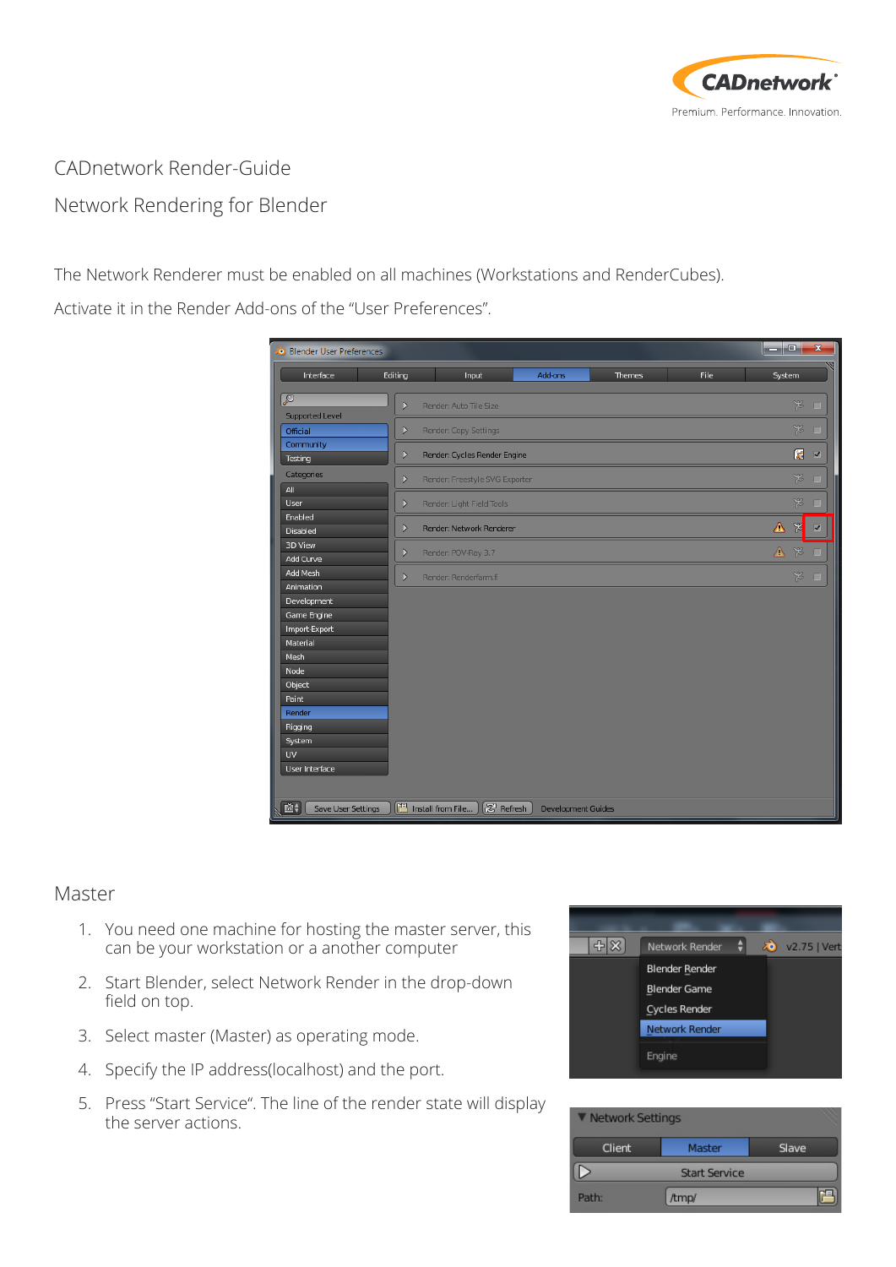

# CADnetwork Render-Guide Network Rendering for Blender

The Network Renderer must be enabled on all machines (Workstations and RenderCubes).

Activate it in the Render Add-ons of the "User Preferences".

| <b>•</b> Blender User Preferences                                                                                      |                  |                                |         |        |      | الهابور        | $\mathbf{x}$            |
|------------------------------------------------------------------------------------------------------------------------|------------------|--------------------------------|---------|--------|------|----------------|-------------------------|
| Interface                                                                                                              | Editing          | Input                          | Add-ons | Themes | File | System         |                         |
| $\varnothing$                                                                                                          | $\mathsf{D}$     | Render: Auto Tile Size         |         |        |      | $\frac{1}{2}$  | o                       |
| Supported Level                                                                                                        |                  |                                |         |        |      |                |                         |
| Official                                                                                                               | $\triangleright$ | Render: Copy Settings          |         |        |      | $\frac{1}{2}$  | ш                       |
| Community                                                                                                              | $\triangleright$ | Render: Cycles Render Engine   |         |        |      | R              | $\overline{\mathbf{v}}$ |
| Testing                                                                                                                |                  |                                |         |        |      |                |                         |
| Categories                                                                                                             | $\triangleright$ | Render: Freestyle SVG Exporter |         |        |      | SP.            | II.                     |
| All                                                                                                                    |                  |                                |         |        |      |                |                         |
| User                                                                                                                   | $\triangleright$ | Render: Light Field Tools      |         |        |      | $\mathbb{R}^2$ | o                       |
| Enabled<br>Disabled                                                                                                    | $\triangleright$ | Render: Network Renderer       |         |        |      | $\approx$<br>Δ | $\vert$ v $\vert$       |
| 3D View                                                                                                                |                  |                                |         |        |      |                |                         |
| Add Curve                                                                                                              | D                | Render: POV-Ray 3.7            |         |        |      | Δ<br>出         |                         |
| Add Mesh                                                                                                               | D                | Render: Renderfarm.fi          |         |        |      | 墨              | Œ.                      |
| Animation                                                                                                              |                  |                                |         |        |      |                |                         |
| Development                                                                                                            |                  |                                |         |        |      |                |                         |
| Game Engine                                                                                                            |                  |                                |         |        |      |                |                         |
| Import-Export                                                                                                          |                  |                                |         |        |      |                |                         |
| Material                                                                                                               |                  |                                |         |        |      |                |                         |
| Mesh                                                                                                                   |                  |                                |         |        |      |                |                         |
| Node                                                                                                                   |                  |                                |         |        |      |                |                         |
| Object<br>Paint                                                                                                        |                  |                                |         |        |      |                |                         |
| Render                                                                                                                 |                  |                                |         |        |      |                |                         |
| Rigging                                                                                                                |                  |                                |         |        |      |                |                         |
| System                                                                                                                 |                  |                                |         |        |      |                |                         |
| <b>UV</b>                                                                                                              |                  |                                |         |        |      |                |                         |
| User Interface                                                                                                         |                  |                                |         |        |      |                |                         |
|                                                                                                                        |                  |                                |         |        |      |                |                         |
|                                                                                                                        |                  |                                |         |        |      |                |                         |
| 函制<br>[ <sup>14</sup> ] Install from File ]<br>$\mathbb{R}$ Refresh<br><b>Save User Settings</b><br>Development Guides |                  |                                |         |        |      |                |                         |

# Master

- 1. You need one machine for hosting the master server, this can be your workstation or a another computer
- 2. Start Blender, select Network Render in the drop-down field on top.
- 3. Select master (Master) as operating mode.
- 4. Specify the IP address(localhost) and the port.
- 5. Press "Start Service". The line of the render state will display the server actions.